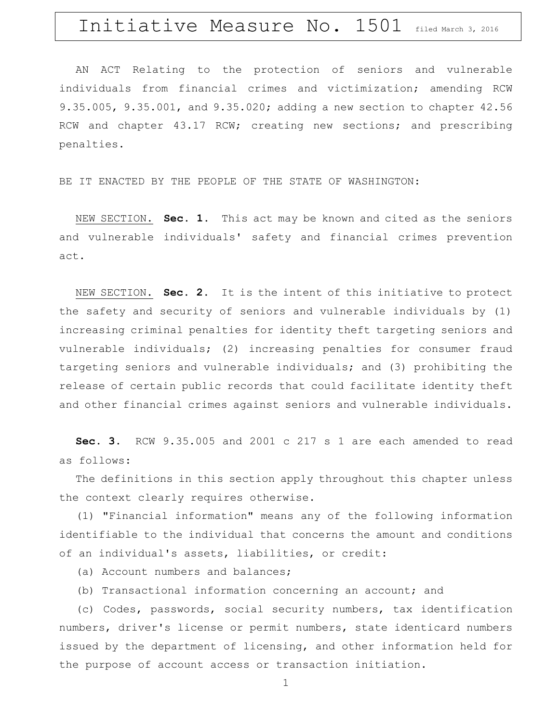# Initiative Measure No. 1501 filed March 3, 2016

AN ACT Relating to the protection of seniors and vulnerable individuals from financial crimes and victimization; amending RCW 9.35.005, 9.35.001, and 9.35.020; adding a new section to chapter 42.56 RCW and chapter 43.17 RCW; creating new sections; and prescribing penalties.

BE IT ENACTED BY THE PEOPLE OF THE STATE OF WASHINGTON:

NEW SECTION. **Sec. 1.** This act may be known and cited as the seniors and vulnerable individuals' safety and financial crimes prevention act.

NEW SECTION. **Sec. 2.** It is the intent of this initiative to protect the safety and security of seniors and vulnerable individuals by (1) increasing criminal penalties for identity theft targeting seniors and vulnerable individuals; (2) increasing penalties for consumer fraud targeting seniors and vulnerable individuals; and (3) prohibiting the release of certain public records that could facilitate identity theft and other financial crimes against seniors and vulnerable individuals.

**Sec. 3.** RCW 9.35.005 and 2001 c 217 s 1 are each amended to read as follows:

The definitions in this section apply throughout this chapter unless the context clearly requires otherwise.

(1) "Financial information" means any of the following information identifiable to the individual that concerns the amount and conditions of an individual's assets, liabilities, or credit:

(a) Account numbers and balances;

(b) Transactional information concerning an account; and

(c) Codes, passwords, social security numbers, tax identification numbers, driver's license or permit numbers, state identicard numbers issued by the department of licensing, and other information held for the purpose of account access or transaction initiation.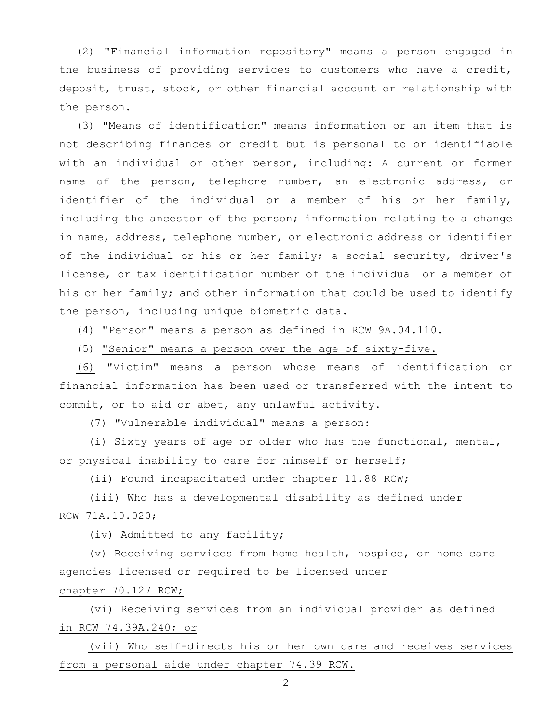(2) "Financial information repository" means a person engaged in the business of providing services to customers who have a credit, deposit, trust, stock, or other financial account or relationship with the person.

(3) "Means of identification" means information or an item that is not describing finances or credit but is personal to or identifiable with an individual or other person, including: A current or former name of the person, telephone number, an electronic address, or identifier of the individual or a member of his or her family, including the ancestor of the person; information relating to a change in name, address, telephone number, or electronic address or identifier of the individual or his or her family; a social security, driver's license, or tax identification number of the individual or a member of his or her family; and other information that could be used to identify the person, including unique biometric data.

(4) "Person" means a person as defined in RCW 9A.04.110.

(5) "Senior" means a person over the age of sixty-five.

(6) "Victim" means a person whose means of identification or financial information has been used or transferred with the intent to commit, or to aid or abet, any unlawful activity.

(7) "Vulnerable individual" means a person:

(i) Sixty years of age or older who has the functional, mental, or physical inability to care for himself or herself;

(ii) Found incapacitated under chapter [11.88](http://app.leg.wa.gov/RCW/default.aspx?cite=11.88) RCW;

(iii) Who has a developmental disability as defined under RCW [71A.10.020;](http://app.leg.wa.gov/RCW/default.aspx?cite=71A.10.020)

(iv) Admitted to any facility;

(v) Receiving services from home health, hospice, or home care agencies licensed or required to be licensed under

chapter [70.127](http://app.leg.wa.gov/RCW/default.aspx?cite=70.127) RCW;

(vi) Receiving services from an individual provider as defined in RCW 74.39A.240; or

(vii) Who self-directs his or her own care and receives services from a personal aide under chapter [74.39](http://app.leg.wa.gov/RCW/default.aspx?cite=74.39) RCW.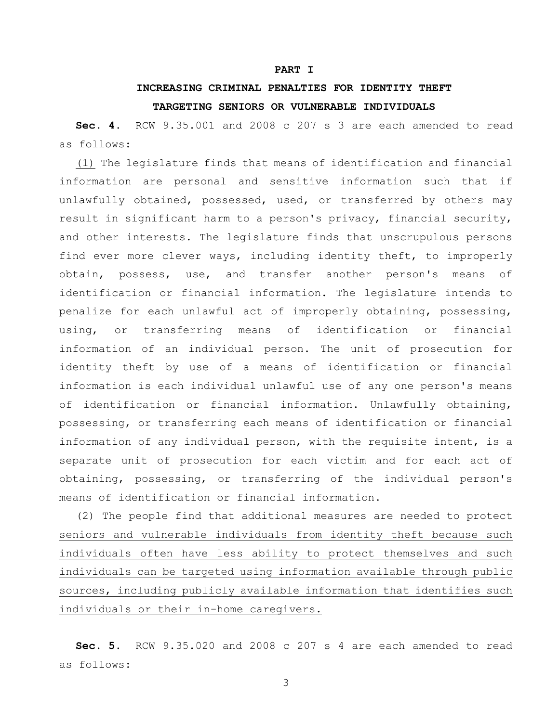#### **PART I**

### **INCREASING CRIMINAL PENALTIES FOR IDENTITY THEFT TARGETING SENIORS OR VULNERABLE INDIVIDUALS**

**Sec. 4.** RCW 9.35.001 and 2008 c 207 s 3 are each amended to read as follows:

(1) The legislature finds that means of identification and financial information are personal and sensitive information such that if unlawfully obtained, possessed, used, or transferred by others may result in significant harm to a person's privacy, financial security, and other interests. The legislature finds that unscrupulous persons find ever more clever ways, including identity theft, to improperly obtain, possess, use, and transfer another person's means of identification or financial information. The legislature intends to penalize for each unlawful act of improperly obtaining, possessing, using, or transferring means of identification or financial information of an individual person. The unit of prosecution for identity theft by use of a means of identification or financial information is each individual unlawful use of any one person's means of identification or financial information. Unlawfully obtaining, possessing, or transferring each means of identification or financial information of any individual person, with the requisite intent, is a separate unit of prosecution for each victim and for each act of obtaining, possessing, or transferring of the individual person's means of identification or financial information.

(2) The people find that additional measures are needed to protect seniors and vulnerable individuals from identity theft because such individuals often have less ability to protect themselves and such individuals can be targeted using information available through public sources, including publicly available information that identifies such individuals or their in-home caregivers.

**Sec. 5.** RCW 9.35.020 and 2008 c 207 s 4 are each amended to read as follows: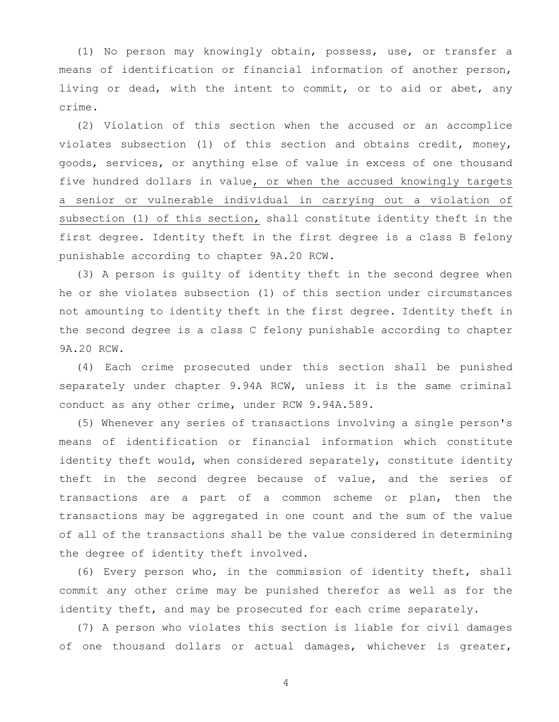(1) No person may knowingly obtain, possess, use, or transfer a means of identification or financial information of another person, living or dead, with the intent to commit, or to aid or abet, any crime.

(2) Violation of this section when the accused or an accomplice violates subsection (1) of this section and obtains credit, money, goods, services, or anything else of value in excess of one thousand five hundred dollars in value, or when the accused knowingly targets a senior or vulnerable individual in carrying out a violation of subsection (1) of this section, shall constitute identity theft in the first degree. Identity theft in the first degree is a class B felony punishable according to chapter 9A.20 RCW.

(3) A person is guilty of identity theft in the second degree when he or she violates subsection (1) of this section under circumstances not amounting to identity theft in the first degree. Identity theft in the second degree is a class C felony punishable according to chapter 9A.20 RCW.

(4) Each crime prosecuted under this section shall be punished separately under chapter 9.94A RCW, unless it is the same criminal conduct as any other crime, under RCW 9.94A.589.

(5) Whenever any series of transactions involving a single person's means of identification or financial information which constitute identity theft would, when considered separately, constitute identity theft in the second degree because of value, and the series of transactions are a part of a common scheme or plan, then the transactions may be aggregated in one count and the sum of the value of all of the transactions shall be the value considered in determining the degree of identity theft involved.

(6) Every person who, in the commission of identity theft, shall commit any other crime may be punished therefor as well as for the identity theft, and may be prosecuted for each crime separately.

(7) A person who violates this section is liable for civil damages of one thousand dollars or actual damages, whichever is greater,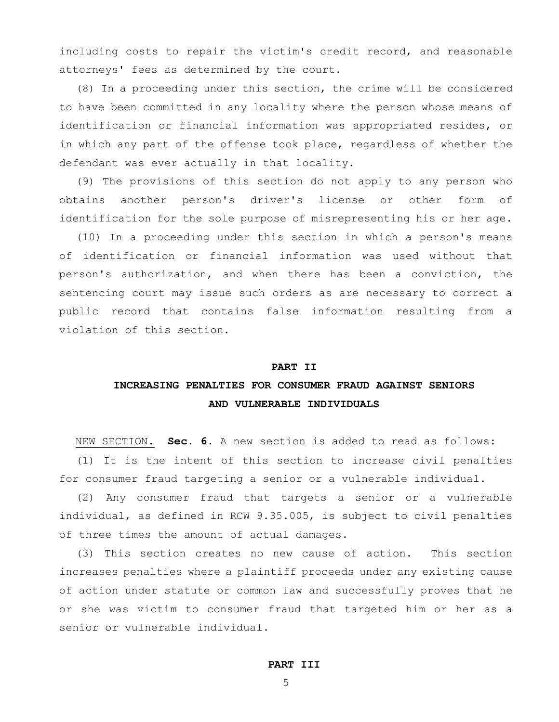including costs to repair the victim's credit record, and reasonable attorneys' fees as determined by the court.

(8) In a proceeding under this section, the crime will be considered to have been committed in any locality where the person whose means of identification or financial information was appropriated resides, or in which any part of the offense took place, regardless of whether the defendant was ever actually in that locality.

(9) The provisions of this section do not apply to any person who obtains another person's driver's license or other form of identification for the sole purpose of misrepresenting his or her age.

(10) In a proceeding under this section in which a person's means of identification or financial information was used without that person's authorization, and when there has been a conviction, the sentencing court may issue such orders as are necessary to correct a public record that contains false information resulting from a violation of this section.

#### **PART II**

### **INCREASING PENALTIES FOR CONSUMER FRAUD AGAINST SENIORS AND VULNERABLE INDIVIDUALS**

NEW SECTION. **Sec. 6.** A new section is added to read as follows: (1) It is the intent of this section to increase civil penalties for consumer fraud targeting a senior or a vulnerable individual.

(2) Any consumer fraud that targets a senior or a vulnerable individual, as defined in RCW 9.35.005, is subject to civil penalties of three times the amount of actual damages.

(3) This section creates no new cause of action. This section increases penalties where a plaintiff proceeds under any existing cause of action under statute or common law and successfully proves that he or she was victim to consumer fraud that targeted him or her as a senior or vulnerable individual.

#### **PART III**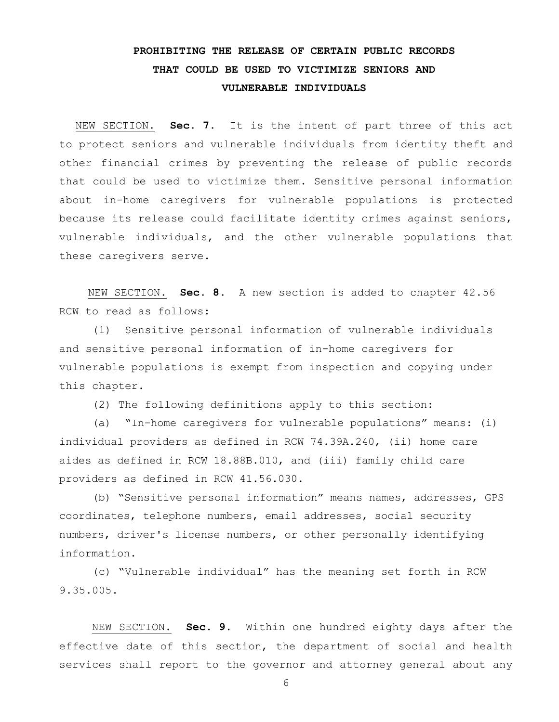## **PROHIBITING THE RELEASE OF CERTAIN PUBLIC RECORDS THAT COULD BE USED TO VICTIMIZE SENIORS AND VULNERABLE INDIVIDUALS**

NEW SECTION. **Sec. 7.** It is the intent of part three of this act to protect seniors and vulnerable individuals from identity theft and other financial crimes by preventing the release of public records that could be used to victimize them. Sensitive personal information about in-home caregivers for vulnerable populations is protected because its release could facilitate identity crimes against seniors, vulnerable individuals, and the other vulnerable populations that these caregivers serve.

NEW SECTION. **Sec. 8.** A new section is added to chapter 42.56 RCW to read as follows:

(1) Sensitive personal information of vulnerable individuals and sensitive personal information of in-home caregivers for vulnerable populations is exempt from inspection and copying under this chapter.

(2) The following definitions apply to this section:

(a) "In-home caregivers for vulnerable populations" means: (i) individual providers as defined in RCW 74.39A.240, (ii) home care aides as defined in RCW 18.88B.010, and (iii) family child care providers as defined in RCW 41.56.030.

(b) "Sensitive personal information" means names, addresses, GPS coordinates, telephone numbers, email addresses, social security numbers, driver's license numbers, or other personally identifying information.

(c) "Vulnerable individual" has the meaning set forth in RCW 9.35.005.

NEW SECTION. **Sec. 9.** Within one hundred eighty days after the effective date of this section, the department of social and health services shall report to the governor and attorney general about any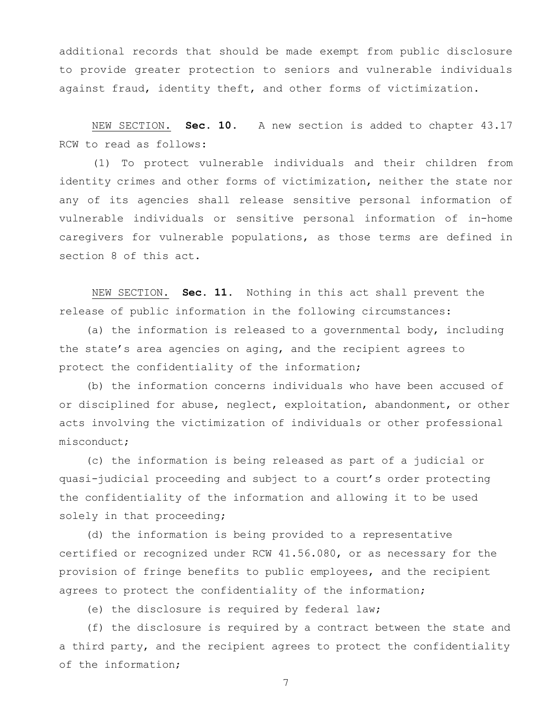additional records that should be made exempt from public disclosure to provide greater protection to seniors and vulnerable individuals against fraud, identity theft, and other forms of victimization.

NEW SECTION. **Sec. 10.** A new section is added to chapter 43.17 RCW to read as follows:

(1) To protect vulnerable individuals and their children from identity crimes and other forms of victimization, neither the state nor any of its agencies shall release sensitive personal information of vulnerable individuals or sensitive personal information of in-home caregivers for vulnerable populations, as those terms are defined in section 8 of this act.

NEW SECTION. **Sec. 11.** Nothing in this act shall prevent the release of public information in the following circumstances:

(a) the information is released to a governmental body, including the state's area agencies on aging, and the recipient agrees to protect the confidentiality of the information;

(b) the information concerns individuals who have been accused of or disciplined for abuse, neglect, exploitation, abandonment, or other acts involving the victimization of individuals or other professional misconduct;

(c) the information is being released as part of a judicial or quasi-judicial proceeding and subject to a court's order protecting the confidentiality of the information and allowing it to be used solely in that proceeding;

(d) the information is being provided to a representative certified or recognized under RCW 41.56.080, or as necessary for the provision of fringe benefits to public employees, and the recipient agrees to protect the confidentiality of the information;

(e) the disclosure is required by federal law;

(f) the disclosure is required by a contract between the state and a third party, and the recipient agrees to protect the confidentiality of the information;